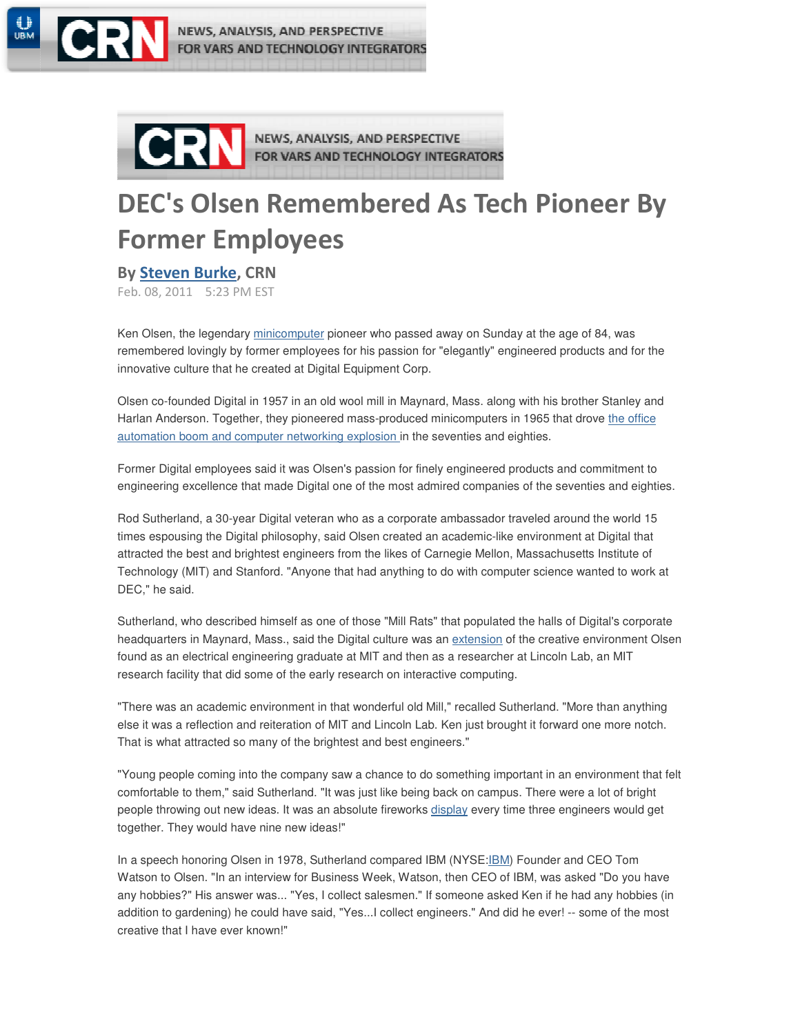

NEWS, ANALYSIS, AND PERSPECTIVE FOR VARS AND TECHNOLOGY INTEGRATORS



NEWS, ANALYSIS, AND PERSPECTIVE FOR VARS AND TECHNOLOGY INTEGRATORS

# DEC's Olsen Remembered As Tech Pioneer By Former Employees

## By Steven Burke, CRN

Feb. 08, 2011 5:23 PM EST

Ken Olsen, the legendary minicomputer pioneer who passed away on Sunday at the age of 84, was remembered lovingly by former employees for his passion for "elegantly" engineered products and for the innovative culture that he created at Digital Equipment Corp.

Olsen co-founded Digital in 1957 in an old wool mill in Maynard, Mass. along with his brother Stanley and Harlan Anderson. Together, they pioneered mass-produced minicomputers in 1965 that drove the office automation boom and computer networking explosion in the seventies and eighties.

Former Digital employees said it was Olsen's passion for finely engineered products and commitment to engineering excellence that made Digital one of the most admired companies of the seventies and eighties.

Rod Sutherland, a 30-year Digital veteran who as a corporate ambassador traveled around the world 15 times espousing the Digital philosophy, said Olsen created an academic-like environment at Digital that attracted the best and brightest engineers from the likes of Carnegie Mellon, Massachusetts Institute of Technology (MIT) and Stanford. "Anyone that had anything to do with computer science wanted to work at DEC," he said.

Sutherland, who described himself as one of those "Mill Rats" that populated the halls of Digital's corporate headquarters in Maynard, Mass., said the Digital culture was an extension of the creative environment Olsen found as an electrical engineering graduate at MIT and then as a researcher at Lincoln Lab, an MIT research facility that did some of the early research on interactive computing.

"There was an academic environment in that wonderful old Mill," recalled Sutherland. "More than anything else it was a reflection and reiteration of MIT and Lincoln Lab. Ken just brought it forward one more notch. That is what attracted so many of the brightest and best engineers."

"Young people coming into the company saw a chance to do something important in an environment that felt comfortable to them," said Sutherland. "It was just like being back on campus. There were a lot of bright people throwing out new ideas. It was an absolute fireworks display every time three engineers would get together. They would have nine new ideas!"

In a speech honoring Olsen in 1978, Sutherland compared IBM (NYSE:IBM) Founder and CEO Tom Watson to Olsen. "In an interview for Business Week, Watson, then CEO of IBM, was asked "Do you have any hobbies?" His answer was... "Yes, I collect salesmen." If someone asked Ken if he had any hobbies (in addition to gardening) he could have said, "Yes...I collect engineers." And did he ever! -- some of the most creative that I have ever known!"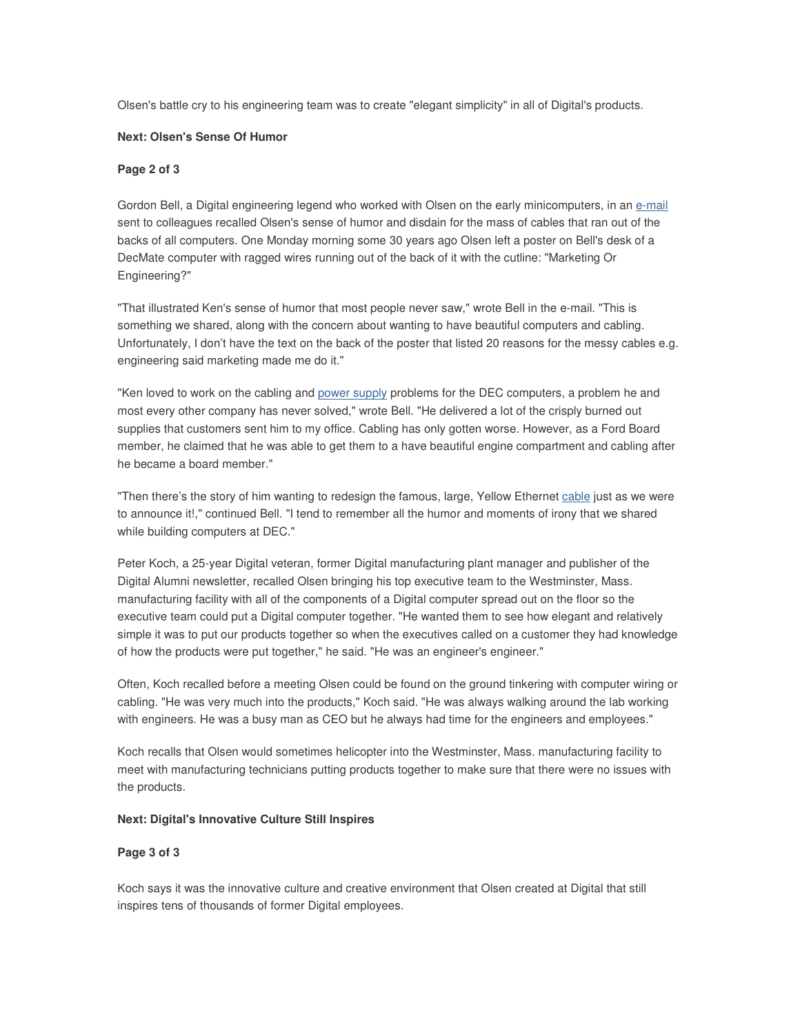Olsen's battle cry to his engineering team was to create "elegant simplicity" in all of Digital's products.

#### **Next: Olsen's Sense Of Humor**

#### **Page 2 of 3**

Gordon Bell, a Digital engineering legend who worked with Olsen on the early minicomputers, in an e-mail sent to colleagues recalled Olsen's sense of humor and disdain for the mass of cables that ran out of the backs of all computers. One Monday morning some 30 years ago Olsen left a poster on Bell's desk of a DecMate computer with ragged wires running out of the back of it with the cutline: "Marketing Or Engineering?"

"That illustrated Ken's sense of humor that most people never saw," wrote Bell in the e-mail. "This is something we shared, along with the concern about wanting to have beautiful computers and cabling. Unfortunately, I don't have the text on the back of the poster that listed 20 reasons for the messy cables e.g. engineering said marketing made me do it."

"Ken loved to work on the cabling and power supply problems for the DEC computers, a problem he and most every other company has never solved," wrote Bell. "He delivered a lot of the crisply burned out supplies that customers sent him to my office. Cabling has only gotten worse. However, as a Ford Board member, he claimed that he was able to get them to a have beautiful engine compartment and cabling after he became a board member."

"Then there's the story of him wanting to redesign the famous, large, Yellow Ethernet cable just as we were to announce it!," continued Bell. "I tend to remember all the humor and moments of irony that we shared while building computers at DEC."

Peter Koch, a 25-year Digital veteran, former Digital manufacturing plant manager and publisher of the Digital Alumni newsletter, recalled Olsen bringing his top executive team to the Westminster, Mass. manufacturing facility with all of the components of a Digital computer spread out on the floor so the executive team could put a Digital computer together. "He wanted them to see how elegant and relatively simple it was to put our products together so when the executives called on a customer they had knowledge of how the products were put together," he said. "He was an engineer's engineer."

Often, Koch recalled before a meeting Olsen could be found on the ground tinkering with computer wiring or cabling. "He was very much into the products," Koch said. "He was always walking around the lab working with engineers. He was a busy man as CEO but he always had time for the engineers and employees."

Koch recalls that Olsen would sometimes helicopter into the Westminster, Mass. manufacturing facility to meet with manufacturing technicians putting products together to make sure that there were no issues with the products.

#### **Next: Digital's Innovative Culture Still Inspires**

### **Page 3 of 3**

Koch says it was the innovative culture and creative environment that Olsen created at Digital that still inspires tens of thousands of former Digital employees.